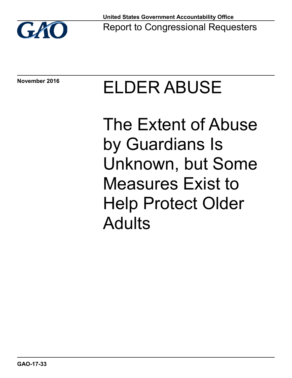

**November 2016**

# ELDER ABUSE

The Extent of Abuse by Guardians Is Unknown, but Some Measures Exist to Help Protect Older Adults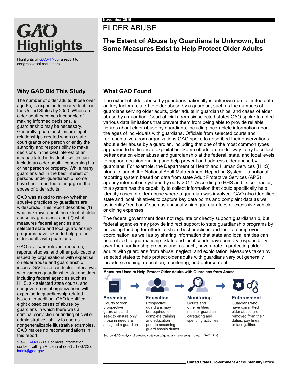## ELDER ABUSE

### **The Extent of Abuse by Guardians Is Unknown, but Some Measures Exist to Help Protect Older Adults**

Highlights o[f GAO-17-33,](http://www.gao.gov/products/GAO-17-33) a report to congressional requesters

**Highlights** 

GAO

#### **Why GAO Did This Study**

The number of older adults, those over age 65, is expected to nearly double in the United States by 2050. When an older adult becomes incapable of making informed decisions, a guardianship may be necessary. Generally, guardianships are legal relationships created when a state court grants one person or entity the authority and responsibility to make decisions in the best interest of an incapacitated individual—which can include an older adult—concerning his or her person or property. While many guardians act in the best interest of persons under guardianship, some have been reported to engage in the abuse of older adults.

GAO was asked to review whether abusive practices by guardians are widespread. This report describes (1) what is known about the extent of elder abuse by guardians; and (2) what measures federal agencies and selected state and local guardianship programs have taken to help protect older adults with guardians.

GAO reviewed relevant research, reports, studies, and other publications issued by organizations with expertise on elder abuse and guardianship issues. GAO also conducted interviews with various guardianship stakeholders including federal agencies such as HHS, six selected state courts, and nongovernmental organizations with expertise in guardianship-related issues. In addition, GAO identified eight closed cases of abuse by guardians in which there was a criminal conviction or finding of civil or administrative liability to use as nongeneralizable illustrative examples. GAO makes no recommendations in this report.

Vie[w GAO-17-33.](http://www.gao.gov/products/GAO-17-33) For more information, contact Kathryn A. Larin at (202) 512-6722 or [larink@gao.gov.](mailto:larink@gao.gov)

#### **What GAO Found**

The extent of elder abuse by guardians nationally is unknown due to limited data on key factors related to elder abuse by a guardian, such as the numbers of guardians serving older adults, older adults in guardianships, and cases of elder abuse by a guardian. Court officials from six selected states GAO spoke to noted various data limitations that prevent them from being able to provide reliable figures about elder abuse by guardians, including incomplete information about the ages of individuals with guardians. Officials from selected courts and representatives from organizations GAO spoke to described their observations about elder abuse by a guardian, including that one of the most common types appeared to be financial exploitation. Some efforts are under way to try to collect better data on elder abuse and guardianship at the federal, state, and local levels to support decision making and help prevent and address elder abuse by guardians. For example, the Department of Health and Human Services (HHS) plans to launch the National Adult Maltreatment Reporting System—a national reporting system based on data from state Adult Protective Services (APS) agency information systems by early 2017. According to HHS and its contractor, this system has the capability to collect information that could specifically help identify cases of elder abuse where a guardian was involved. GAO also identified state and local initiatives to capture key data points and complaint data as well as identify "red flags" such as unusually high guardian fees or excessive vehicle or dining expenses.

The federal government does not regulate or directly support guardianship, but federal agencies may provide indirect support to state guardianship programs by providing funding for efforts to share best practices and facilitate improved coordination, as well as by sharing information that state and local entities can use related to guardianship. State and local courts have primary responsibility over the guardianship process and, as such, have a role in protecting older adults with guardians from abuse, neglect, and exploitation. Measures taken by selected states to help protect older adults with guardians vary but generally include screening, education, monitoring, and enforcement.

**Measures Used to Help Protect Older Adults with Guardians from Abuse**

**Screening** Courts screen prospective guardians and seek to ensure only those in need are assigned a guardian

**Education** Prospective guardians may be required to complete training and education prior to assuming guardianship duties **Monitoring** Courts and other entities monitor guardian caretaking and spending activities



**Enforcement** Guardians who have committed elder abuse are removed from their duties, pay fines, or face jailtime

Source: GAO analysis of selected state courts' quardianship oversight roles. | GAO-17-33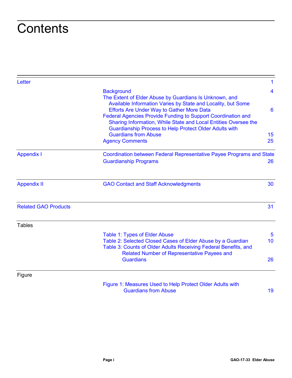## **Contents**

| Letter                      |                                                                                                                                                                                                                                               | $\mathbf{1}$            |
|-----------------------------|-----------------------------------------------------------------------------------------------------------------------------------------------------------------------------------------------------------------------------------------------|-------------------------|
|                             | <b>Background</b><br>The Extent of Elder Abuse by Guardians Is Unknown, and<br>Available Information Varies by State and Locality, but Some                                                                                                   | $\overline{\mathbf{4}}$ |
|                             | <b>Efforts Are Under Way to Gather More Data</b><br>Federal Agencies Provide Funding to Support Coordination and<br>Sharing Information, While State and Local Entities Oversee the<br>Guardianship Process to Help Protect Older Adults with | 6                       |
|                             | <b>Guardians from Abuse</b><br><b>Agency Comments</b>                                                                                                                                                                                         | 15<br>25                |
| <b>Appendix I</b>           | Coordination between Federal Representative Payee Programs and State<br><b>Guardianship Programs</b>                                                                                                                                          | 26                      |
| <b>Appendix II</b>          | <b>GAO Contact and Staff Acknowledgments</b>                                                                                                                                                                                                  | 30                      |
| <b>Related GAO Products</b> |                                                                                                                                                                                                                                               | 31                      |
| <b>Tables</b>               |                                                                                                                                                                                                                                               |                         |
|                             | Table 1: Types of Elder Abuse<br>Table 2: Selected Closed Cases of Elder Abuse by a Guardian<br>Table 3: Counts of Older Adults Receiving Federal Benefits, and<br>Related Number of Representative Payees and                                | $5\phantom{.0}$<br>10   |
|                             | <b>Guardians</b>                                                                                                                                                                                                                              | 26                      |
| Figure                      |                                                                                                                                                                                                                                               |                         |
|                             | Figure 1: Measures Used to Help Protect Older Adults with                                                                                                                                                                                     |                         |

[Guardians from Abuse](#page-22-0) 19 and 19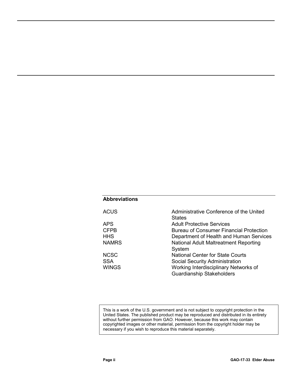#### **Abbreviations**

| <b>ACUS</b>  | Administrative Conference of the United<br><b>States</b> |
|--------------|----------------------------------------------------------|
| <b>APS</b>   | <b>Adult Protective Services</b>                         |
| <b>CFPB</b>  | <b>Bureau of Consumer Financial Protection</b>           |
| <b>HHS</b>   | Department of Health and Human Services                  |
| <b>NAMRS</b> | National Adult Maltreatment Reporting                    |
|              | System                                                   |
| <b>NCSC</b>  | <b>National Center for State Courts</b>                  |
| <b>SSA</b>   | Social Security Administration                           |
| <b>WINGS</b> | Working Interdisciplinary Networks of                    |
|              | <b>Guardianship Stakeholders</b>                         |

This is a work of the U.S. government and is not subject to copyright protection in the United States. The published product may be reproduced and distributed in its entirety without further permission from GAO. However, because this work may contain copyrighted images or other material, permission from the copyright holder may be necessary if you wish to reproduce this material separately.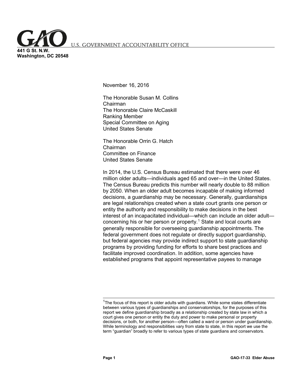<span id="page-4-0"></span>S. GOVERNMENT ACCOUNTABILITY OFFICE

**441 G St. N.W. Washington, DC 20548**

November 16, 2016

The Honorable Susan M. Collins Chairman The Honorable Claire McCaskill Ranking Member Special Committee on Aging United States Senate

The Honorable Orrin G. Hatch Chairman Committee on Finance United States Senate

In 2014, the U.S. Census Bureau estimated that there were over 46 million older adults—individuals aged 65 and over—in the United States. The Census Bureau predicts this number will nearly double to 88 million by 2050. When an older adult becomes incapable of making informed decisions, a guardianship may be necessary. Generally, guardianships are legal relationships created when a state court grants one person or entity the authority and responsibility to make decisions in the best interest of an incapacitated individual—which can include an older adult— concerning his or her person or property.<sup>[1](#page-4-1)</sup> State and local courts are generally responsible for overseeing guardianship appointments. The federal government does not regulate or directly support guardianship, but federal agencies may provide indirect support to state guardianship programs by providing funding for efforts to share best practices and facilitate improved coordination. In addition, some agencies have established programs that appoint representative payees to manage

<span id="page-4-1"></span> $1$ <sup>1</sup>The focus of this report is older adults with guardians. While some states differentiate between various types of guardianships and conservatorships, for the purposes of this report we define guardianship broadly as a relationship created by state law in which a court gives one person or entity the duty and power to make personal or property decisions, or both, for another person—often called a ward or person under guardianship. While terminology and responsibilities vary from state to state, in this report we use the term "guardian" broadly to refer to various types of state guardians and conservators.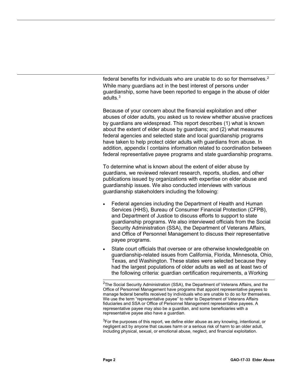federal benefits for individuals who are unable to do so for themselves.<sup>[2](#page-5-0)</sup> While many guardians act in the best interest of persons under guardianship, some have been reported to engage in the abuse of older adults.[3](#page-5-1)

Because of your concern about the financial exploitation and other abuses of older adults, you asked us to review whether abusive practices by guardians are widespread. This report describes (1) what is known about the extent of elder abuse by guardians; and (2) what measures federal agencies and selected state and local guardianship programs have taken to help protect older adults with guardians from abuse. In addition, appendix I contains information related to coordination between federal representative payee programs and state guardianship programs.

To determine what is known about the extent of elder abuse by guardians, we reviewed relevant research, reports, studies, and other publications issued by organizations with expertise on elder abuse and guardianship issues. We also conducted interviews with various guardianship stakeholders including the following:

- Federal agencies including the Department of Health and Human Services (HHS), Bureau of Consumer Financial Protection (CFPB), and Department of Justice to discuss efforts to support to state guardianship programs. We also interviewed officials from the Social Security Administration (SSA), the Department of Veterans Affairs, and Office of Personnel Management to discuss their representative payee programs.
- State court officials that oversee or are otherwise knowledgeable on guardianship-related issues from California, Florida, Minnesota, Ohio, Texas, and Washington. These states were selected because they had the largest populations of older adults as well as at least two of the following criteria: guardian certification requirements, a Working

<span id="page-5-1"></span> ${}^{3}$ For the purposes of this report, we define elder abuse as any knowing, intentional, or negligent act by anyone that causes harm or a serious risk of harm to an older adult, including physical, sexual, or emotional abuse, neglect, and financial exploitation.

<span id="page-5-0"></span> <sup>2</sup> The Social Security Administration (SSA), the Department of Veterans Affairs, and the Office of Personnel Management have programs that appoint representative payees to manage federal benefits received by individuals who are unable to do so for themselves. We use the term "representative payee" to refer to Department of Veterans Affairs fiduciaries and SSA or Office of Personnel Management representative payees. A representative payee may also be a guardian, and some beneficiaries with a representative payee also have a guardian.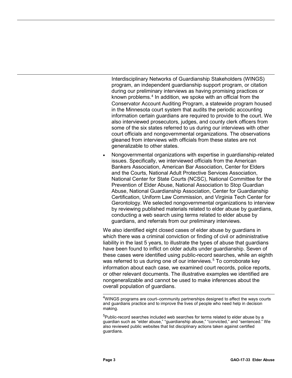Interdisciplinary Networks of Guardianship Stakeholders (WINGS) program, an independent guardianship support program, or citation during our preliminary interviews as having promising practices or known problems.<sup>[4](#page-6-0)</sup> In addition, we spoke with an official from the Conservator Account Auditing Program, a statewide program housed in the Minnesota court system that audits the periodic accounting information certain guardians are required to provide to the court. We also interviewed prosecutors, judges, and county clerk officers from some of the six states referred to us during our interviews with other court officials and nongovernmental organizations. The observations gleaned from interviews with officials from these states are not generalizable to other states.

• Nongovernmental organizations with expertise in guardianship-related issues. Specifically, we interviewed officials from the American Bankers Association, American Bar Association, Center for Elders and the Courts, National Adult Protective Services Association, National Center for State Courts (NCSC), National Committee for the Prevention of Elder Abuse, National Association to Stop Guardian Abuse, National Guardianship Association, Center for Guardianship Certification, Uniform Law Commission, and Virginia Tech Center for Gerontology. We selected nongovernmental organizations to interview by reviewing published materials related to elder abuse by guardians, conducting a web search using terms related to elder abuse by guardians, and referrals from our preliminary interviews.

We also identified eight closed cases of elder abuse by guardians in which there was a criminal conviction or finding of civil or administrative liability in the last 5 years, to illustrate the types of abuse that guardians have been found to inflict on older adults under guardianship. Seven of these cases were identified using public-record searches, while an eighth was referred to us during one of our interviews.<sup>[5](#page-6-1)</sup> To corroborate key information about each case, we examined court records, police reports, or other relevant documents. The illustrative examples we identified are nongeneralizable and cannot be used to make inferences about the overall population of guardians.

<span id="page-6-0"></span> 4 WINGS programs are court–community partnerships designed to affect the ways courts and guardians practice and to improve the lives of people who need help in decision making.

<span id="page-6-1"></span><sup>&</sup>lt;sup>5</sup>Public-record searches included web searches for terms related to elder abuse by a guardian such as "elder abuse," "guardianship abuse," "convicted," and "sentenced." We also reviewed public websites that list disciplinary actions taken against certified guardians.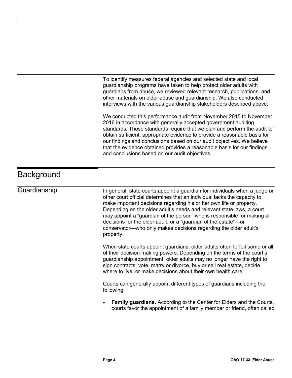To identify measures federal agencies and selected state and local guardianship programs have taken to help protect older adults with guardians from abuse, we reviewed relevant research, publications, and other materials on elder abuse and guardianship. We also conducted interviews with the various guardianship stakeholders described above.

We conducted this performance audit from November 2015 to November 2016 in accordance with generally accepted government auditing standards. Those standards require that we plan and perform the audit to obtain sufficient, appropriate evidence to provide a reasonable basis for our findings and conclusions based on our audit objectives. We believe that the evidence obtained provides a reasonable basis for our findings and conclusions based on our audit objectives.

## <span id="page-7-0"></span>**Background**

#### **Guardianship**

In general, state courts appoint a guardian for individuals when a judge or other court official determines that an individual lacks the capacity to make important decisions regarding his or her own life or property. Depending on the older adult's needs and relevant state laws, a court may appoint a "guardian of the person" who is responsible for making all decisions for the older adult, or a "guardian of the estate"—or conservator—who only makes decisions regarding the older adult's property.

When state courts appoint guardians, older adults often forfeit some or all of their decision-making powers. Depending on the terms of the court's guardianship appointment, older adults may no longer have the right to sign contracts, vote, marry or divorce, buy or sell real estate, decide where to live, or make decisions about their own health care.

Courts can generally appoint different types of guardians including the following:

• **Family guardians.** According to the Center for Elders and the Courts, courts favor the appointment of a family member or friend, often called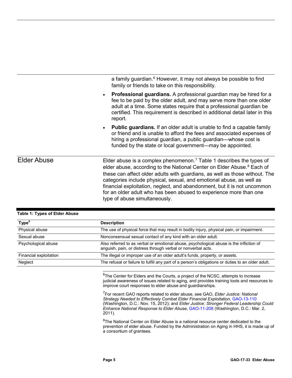a family guardian. $6$  However, it may not always be possible to find family or friends to take on this responsibility.

- **Professional guardians.** A professional guardian may be hired for a fee to be paid by the older adult, and may serve more than one older adult at a time. Some states require that a professional guardian be certified. This requirement is described in additional detail later in this report.
- **Public guardians.** If an older adult is unable to find a capable family or friend and is unable to afford the fees and associated expenses of hiring a professional guardian, a public guardian—whose cost is funded by the state or local government—may be appointed.

Elder abuse is a complex phenomenon.<sup>[7](#page-8-2)</sup> Table 1 describes the types of elder abuse, according to the National Center on Elder Abuse.<sup>[8](#page-8-3)</sup> Each of these can affect older adults with guardians, as well as those without. The categories include physical, sexual, and emotional abuse, as well as financial exploitation, neglect, and abandonment, but it is not uncommon for an older adult who has been abused to experience more than one type of abuse simultaneously. Elder Abuse

<span id="page-8-2"></span><span id="page-8-1"></span>

| Type <sup>a</sup>      | <b>Description</b>                                                                                                                                      |
|------------------------|---------------------------------------------------------------------------------------------------------------------------------------------------------|
| Physical abuse         | The use of physical force that may result in bodily injury, physical pain, or impairment.                                                               |
| Sexual abuse           | Nonconsensual sexual contact of any kind with an older adult.                                                                                           |
| Psychological abuse    | Also referred to as verbal or emotional abuse, psychological abuse is the infliction of<br>anguish, pain, or distress through verbal or nonverbal acts. |
| Financial exploitation | The illegal or improper use of an older adult's funds, property, or assets.                                                                             |
| Neglect                | The refusal or failure to fulfill any part of a person's obligations or duties to an older adult.                                                       |

#### <span id="page-8-0"></span>**Table 1: Types of Elder Abuse**

 $^6$ The Center for Elders and the Courts, a project of the NCSC, attempts to increase judicial awareness of issues related to aging, and provides training tools and resources to improve court responses to elder abuse and guardianships.

7 For recent GAO reports related to elder abuse, see GAO, *Elder Justice: National Strategy Needed to Effectively Combat Elder Financial Exploitation*, [GAO-13-110](http://www.gao.gov/products/GAO-13-110) (Washington, D.C.: Nov. 15, 2012); and *Elder Justice: Stronger Federal Leadership Could Enhance National Response to Elder Abuse*[, GAO-11-208](http://www.gao.gov/products/GAO-11-208) (Washington, D.C.: Mar. 2, 2011).

<span id="page-8-3"></span><sup>8</sup>The National Center on Elder Abuse is a national resource center dedicated to the prevention of elder abuse. Funded by the Administration on Aging in HHS, it is made up of a consortium of grantees.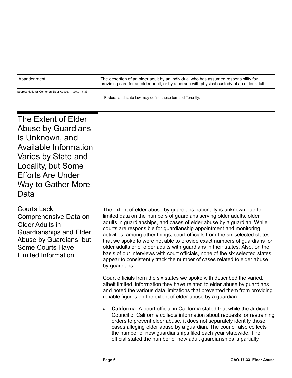| Abandonment | The desertion of an older adult by an individual who has assumed responsibility for        |
|-------------|--------------------------------------------------------------------------------------------|
|             | providing care for an older adult, or by a person with physical custody of an older adult. |

Source: National Center on Elder Abuse. | GAO-17-33

<sup>a</sup>Federal and state law may define these terms differently.

<span id="page-9-0"></span>The Extent of Elder Abuse by Guardians Is Unknown, and Available Information Varies by State and Locality, but Some Efforts Are Under Way to Gather More Data

| Courts Lack                    | The extent of elder abuse by guardians nationally is unknown due to                                                                                                       |
|--------------------------------|---------------------------------------------------------------------------------------------------------------------------------------------------------------------------|
| Comprehensive Data on          | limited data on the numbers of guardians serving older adults, older                                                                                                      |
| Older Adults in                | adults in guardianships, and cases of elder abuse by a guardian. While<br>courts are responsible for guardianship appointment and monitoring                              |
| <b>Guardianships and Elder</b> | activities, among other things, court officials from the six selected states                                                                                              |
| Abuse by Guardians, but        | that we spoke to were not able to provide exact numbers of guardians for                                                                                                  |
| <b>Some Courts Have</b>        | older adults or of older adults with guardians in their states. Also, on the                                                                                              |
| Limited Information            | basis of our interviews with court officials, none of the six selected states<br>appear to consistently track the number of cases related to elder abuse<br>by guardians. |

Court officials from the six states we spoke with described the varied, albeit limited, information they have related to elder abuse by guardians and noted the various data limitations that prevented them from providing reliable figures on the extent of elder abuse by a guardian.

• **California.** A court official in California stated that while the Judicial Council of California collects information about requests for restraining orders to prevent elder abuse, it does not separately identify those cases alleging elder abuse by a guardian. The council also collects the number of new guardianships filed each year statewide. The official stated the number of new adult guardianships is partially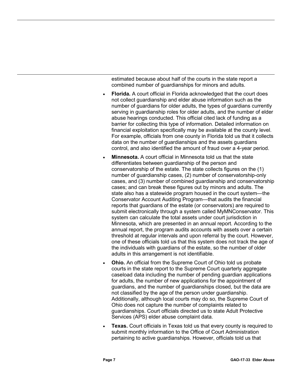estimated because about half of the courts in the state report a combined number of guardianships for minors and adults.

- **Florida.** A court official in Florida acknowledged that the court does not collect guardianship and elder abuse information such as the number of guardians for older adults, the types of guardians currently serving in guardianship roles for older adults, and the number of elder abuse hearings conducted. This official cited lack of funding as a barrier for collecting this type of information. Detailed information on financial exploitation specifically may be available at the county level. For example, officials from one county in Florida told us that it collects data on the number of guardianships and the assets guardians control, and also identified the amount of fraud over a 4-year period.
- **Minnesota.** A court official in Minnesota told us that the state differentiates between guardianship of the person and conservatorship of the estate. The state collects figures on the (1) number of guardianship cases, (2) number of conservatorship-only cases, and (3) number of combined guardianship and conservatorship cases; and can break these figures out by minors and adults. The state also has a statewide program housed in the court system—the Conservator Account Auditing Program—that audits the financial reports that guardians of the estate (or conservators) are required to submit electronically through a system called MyMNConservator. This system can calculate the total assets under court jurisdiction in Minnesota, which are presented in an annual report. According to the annual report, the program audits accounts with assets over a certain threshold at regular intervals and upon referral by the court. However, one of these officials told us that this system does not track the age of the individuals with guardians of the estate, so the number of older adults in this arrangement is not identifiable.
- **Ohio.** An official from the Supreme Court of Ohio told us probate courts in the state report to the Supreme Court quarterly aggregate caseload data including the number of pending guardian applications for adults, the number of new applications for the appointment of guardians, and the number of guardianships closed, but the data are not classified by the age of the person under guardianship. Additionally, although local courts may do so, the Supreme Court of Ohio does not capture the number of complaints related to guardianships. Court officials directed us to state Adult Protective Services (APS) elder abuse complaint data.
- **Texas.** Court officials in Texas told us that every county is required to submit monthly information to the Office of Court Administration pertaining to active guardianships. However, officials told us that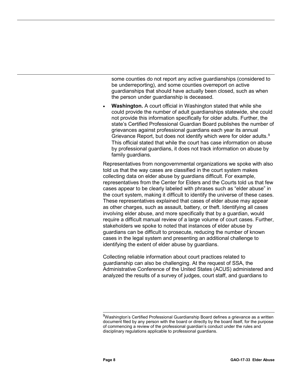some counties do not report any active guardianships (considered to be underreporting), and some counties overreport on active guardianships that should have actually been closed, such as when the person under guardianship is deceased.

**Washington.** A court official in Washington stated that while she could provide the number of adult guardianships statewide, she could not provide this information specifically for older adults. Further, the state's Certified Professional Guardian Board publishes the number of grievances against professional guardians each year its annual Grievance Report, but does not identify which were for older adults.<sup>[9](#page-11-0)</sup> This official stated that while the court has case information on abuse by professional guardians, it does not track information on abuse by family guardians.

Representatives from nongovernmental organizations we spoke with also told us that the way cases are classified in the court system makes collecting data on elder abuse by guardians difficult. For example, representatives from the Center for Elders and the Courts told us that few cases appear to be clearly labeled with phrases such as "elder abuse" in the court system, making it difficult to identify the universe of these cases. These representatives explained that cases of elder abuse may appear as other charges, such as assault, battery, or theft. Identifying all cases involving elder abuse, and more specifically that by a guardian, would require a difficult manual review of a large volume of court cases. Further, stakeholders we spoke to noted that instances of elder abuse by guardians can be difficult to prosecute, reducing the number of known cases in the legal system and presenting an additional challenge to identifying the extent of elder abuse by guardians.

Collecting reliable information about court practices related to guardianship can also be challenging. At the request of SSA, the Administrative Conference of the United States (ACUS) administered and analyzed the results of a survey of judges, court staff, and guardians to

<span id="page-11-0"></span><sup>&</sup>lt;sup>9</sup>Washington's Certified Professional Guardianship Board defines a grievance as a written document filed by any person with the board or directly by the board itself, for the purpose of commencing a review of the professional guardian's conduct under the rules and disciplinary regulations applicable to professional guardians.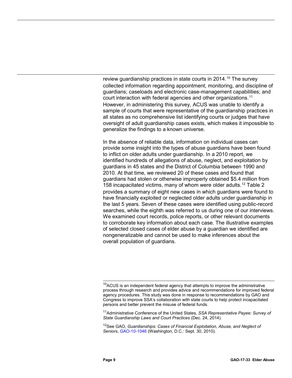review guardianship practices in state courts in 2014.<sup>[10](#page-12-0)</sup> The survey collected information regarding appointment, monitoring, and discipline of guardians; caseloads and electronic case-management capabilities; and court interaction with federal agencies and other organizations.<sup>[11](#page-12-1)</sup> However, in administering this survey, ACUS was unable to identify a sample of courts that were representative of the guardianship practices in all states as no comprehensive list identifying courts or judges that have oversight of adult guardianship cases exists, which makes it impossible to generalize the findings to a known universe.

In the absence of reliable data, information on individual cases can provide some insight into the types of abuse guardians have been found to inflict on older adults under guardianship. In a 2010 report, we identified hundreds of allegations of abuse, neglect, and exploitation by guardians in 45 states and the District of Columbia between 1990 and 2010. At that time, we reviewed 20 of these cases and found that guardians had stolen or otherwise improperly obtained \$5.4 million from 158 incapacitated victims, many of whom were older adults.[12](#page-12-2) Table 2 provides a summary of eight new cases in which guardians were found to have financially exploited or neglected older adults under guardianship in the last 5 years. Seven of these cases were identified using public-record searches, while the eighth was referred to us during one of our interviews. We examined court records, police reports, or other relevant documents to corroborate key information about each case. The illustrative examples of selected closed cases of elder abuse by a guardian we identified are nongeneralizable and cannot be used to make inferences about the overall population of guardians.

<span id="page-12-0"></span><sup>&</sup>lt;sup>10</sup>ACUS is an independent federal agency that attempts to improve the administrative process through research and provides advice and recommendations for improved federal agency procedures. This study was done in response to recommendations by GAO and Congress to improve SSA's collaboration with state courts to help protect incapacitated persons and better prevent the misuse of federal funds.

<span id="page-12-1"></span><sup>11</sup>Administrative Conference of the United States, *SSA Representative Payee: Survey of State Guardianship Laws and Court Practices* (Dec. 24, 2014).

<span id="page-12-2"></span><sup>12</sup>See GAO, *Guardianships: Cases of Financial Exploitation, Abuse, and Neglect of Seniors*[, GAO-10-1046](http://www.gao.gov/products/GAO-10-1046) (Washington, D.C.: Sept. 30, 2010).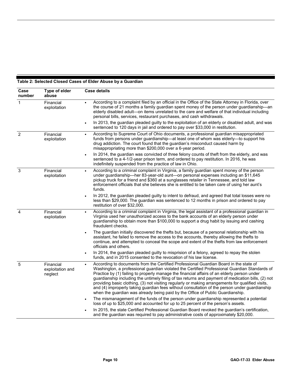#### <span id="page-13-0"></span>**Table 2: Selected Closed Cases of Elder Abuse by a Guardian**

| Case<br>number | Type of elder<br>abuse                   | Case details                                                                                                                                                                                                                                                                                                                                                                                                                                                                                                                                                                                                                                                                                     |  |  |
|----------------|------------------------------------------|--------------------------------------------------------------------------------------------------------------------------------------------------------------------------------------------------------------------------------------------------------------------------------------------------------------------------------------------------------------------------------------------------------------------------------------------------------------------------------------------------------------------------------------------------------------------------------------------------------------------------------------------------------------------------------------------------|--|--|
| $\mathbf{1}$   | Financial<br>exploitation                | According to a complaint filed by an official in the Office of the State Attorney in Florida, over<br>the course of 21 months a family guardian spent money of the person under guardianship—an<br>elderly disabled adult—on items unrelated to the care and welfare of that individual including<br>personal bills, services, restaurant purchases, and cash withdrawals.                                                                                                                                                                                                                                                                                                                       |  |  |
|                |                                          | In 2013, the guardian pleaded guilty to the exploitation of an elderly or disabled adult, and was<br>$\bullet$<br>sentenced to 120 days in jail and ordered to pay over \$33,000 in restitution.                                                                                                                                                                                                                                                                                                                                                                                                                                                                                                 |  |  |
| $\overline{2}$ | Financial<br>exploitation                | According to Supreme Court of Ohio documents, a professional guardian misappropriated<br>$\bullet$<br>funds from persons under guardianship-at least one of whom was elderly-to support his<br>drug addiction. The court found that the guardian's misconduct caused harm by<br>misappropriating more than \$200,000 over a 6-year period.                                                                                                                                                                                                                                                                                                                                                       |  |  |
|                |                                          | In 2014, the guardian was convicted of three felony counts of theft from the elderly, and was<br>$\bullet$<br>sentenced to a 4-1/2-year prison term, and ordered to pay restitution. In 2016, he was<br>indefinitely suspended from the practice of law in Ohio.                                                                                                                                                                                                                                                                                                                                                                                                                                 |  |  |
| 3              | Financial<br>exploitation                | According to a criminal complaint in Virginia, a family guardian spent money of the person<br>$\bullet$<br>under guardianship—her 83-year-old aunt—on personal expenses including an \$11,645<br>pickup truck for a friend and \$360 at a sunglasses retailer in Tennessee, and told law<br>enforcement officials that she believes she is entitled to be taken care of using her aunt's<br>funds.                                                                                                                                                                                                                                                                                               |  |  |
|                |                                          | In 2012, the guardian pleaded guilty to intent to defraud, and agreed that total losses were no<br>$\bullet$<br>less than \$29,000. The guardian was sentenced to 12 months in prison and ordered to pay<br>restitution of over \$32,000.                                                                                                                                                                                                                                                                                                                                                                                                                                                        |  |  |
| $\overline{4}$ | Financial<br>exploitation                | According to a criminal complaint in Virginia, the legal assistant of a professional guardian in<br>$\bullet$<br>Virginia used her unauthorized access to the bank accounts of an elderly person under<br>guardianship to obtain more than \$100,000 to support a drug habit by issuing and cashing<br>fraudulent checks.                                                                                                                                                                                                                                                                                                                                                                        |  |  |
|                |                                          | The guardian initially discovered the thefts but, because of a personal relationship with his<br>assistant, he failed to remove the access to the accounts, thereby allowing the thefts to<br>continue, and attempted to conceal the scope and extent of the thefts from law enforcement<br>officials and others.                                                                                                                                                                                                                                                                                                                                                                                |  |  |
|                |                                          | In 2014, the guardian pleaded guilty to misprision of a felony, agreed to repay the stolen<br>funds, and in 2015 consented to the revocation of his law license.                                                                                                                                                                                                                                                                                                                                                                                                                                                                                                                                 |  |  |
| 5              | Financial<br>exploitation and<br>neglect | According to documents from the Certified Professional Guardian Board in the state of<br>$\bullet$<br>Washington, a professional guardian violated the Certified Professional Guardian Standards of<br>Practice by (1) failing to properly manage the financial affairs of an elderly person under<br>guardianship including the untimely filing of tax returns and payment of medication bills, (2) not<br>providing basic clothing, (3) not visiting regularly or making arrangements for qualified visits,<br>and (4) improperly taking guardian fees without consultation of the person under guardianship<br>when the guardian was already being paid by the Office of Public Guardianship. |  |  |
|                |                                          | The mismanagement of the funds of the person under guardianship represented a potential<br>loss of up to \$25,000 and accounted for up to 25 percent of the person's assets.                                                                                                                                                                                                                                                                                                                                                                                                                                                                                                                     |  |  |
|                |                                          | In 2015, the state Certified Professional Guardian Board revoked the guardian's certification,<br>and the guardian was required to pay administrative costs of approximately \$20,000.                                                                                                                                                                                                                                                                                                                                                                                                                                                                                                           |  |  |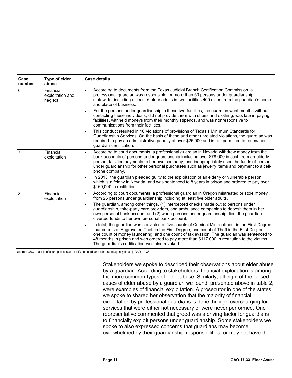| Case<br>number | Type of elder<br>abuse                   | <b>Case details</b>                                                                                                                                                                                                                                                                                                                                                                                                                                             |  |
|----------------|------------------------------------------|-----------------------------------------------------------------------------------------------------------------------------------------------------------------------------------------------------------------------------------------------------------------------------------------------------------------------------------------------------------------------------------------------------------------------------------------------------------------|--|
| 6              | Financial<br>exploitation and<br>neglect | According to documents from the Texas Judicial Branch Certification Commission, a<br>professional guardian was responsible for more than 50 persons under guardianship<br>statewide, including at least 6 older adults in two facilities 400 miles from the guardian's home<br>and place of business.                                                                                                                                                           |  |
|                |                                          | For the persons under guardianship in these two facilities, the guardian went months without<br>contacting these individuals, did not provide them with shoes and clothing, was late in paying<br>facilities, withheld moneys from their monthly stipends, and was nonresponsive to<br>communications from their facilities.                                                                                                                                    |  |
|                |                                          | This conduct resulted in 16 violations of provisions of Texas's Minimum Standards for<br>$\bullet$<br>Guardianship Services. On the basis of these and other unrelated violations, the guardian was<br>required to pay an administrative penalty of over \$25,000 and is not permitted to renew her<br>guardian certification.                                                                                                                                  |  |
| $\overline{7}$ | Financial<br>exploitation                | According to court documents, a professional guardian in Nevada withdrew money from the<br>$\bullet$<br>bank accounts of persons under guardianship including over \$78,000 in cash from an elderly<br>person, falsified payments to her own company, and inappropriately used the funds of person<br>under guardianship for other personal purchases such as jewelry items and payment to a cell-<br>phone company.                                            |  |
|                |                                          | In 2013, the guardian pleaded guilty to the exploitation of an elderly or vulnerable person,<br>which is a felony in Nevada, and was sentenced to 8 years in prison and ordered to pay over<br>\$160,000 in restitution.                                                                                                                                                                                                                                        |  |
| 8              | Financial<br>exploitation                | According to court documents, a professional guardian in Oregon mistreated or stole money<br>$\bullet$<br>from 26 persons under guardianship including at least five older adults.                                                                                                                                                                                                                                                                              |  |
|                |                                          | The guardian, among other things, (1) intercepted checks made out to persons under<br>$\bullet$<br>guardianship, third-party care providers, and ambulance companies to deposit them in her<br>own personal bank account and (2) when persons under guardianship died, the guardian<br>diverted funds to her own personal bank account.                                                                                                                         |  |
|                |                                          | In total, the guardian was convicted of five counts of Criminal Mistreatment in the First Degree,<br>$\bullet$<br>four counts of Aggravated Theft in the First Degree, one count of Theft in the First Degree,<br>one count of money laundering, and one count of tax evasion. The guardian was sentenced to<br>48 months in prison and was ordered to pay more than \$117,000 in restitution to the victims.<br>The guardian's certification was also revoked. |  |

Source: GAO analysis of court, police, state certifying board, and other state agency data. | GAO-17-33

Stakeholders we spoke to described their observations about elder abuse by a guardian. According to stakeholders, financial exploitation is among the more common types of elder abuse. Similarly, all eight of the closed cases of elder abuse by a guardian we found, presented above in table 2, were examples of financial exploitation. A prosecutor in one of the states we spoke to shared her observation that the majority of financial exploitation by professional guardians is done through overcharging for services that were either not necessary or were never performed. One representative commented that greed was a driving factor for guardians to financially exploit persons under guardianship. Some stakeholders we spoke to also expressed concerns that guardians may become overwhelmed by their guardianship responsibilities, or may not have the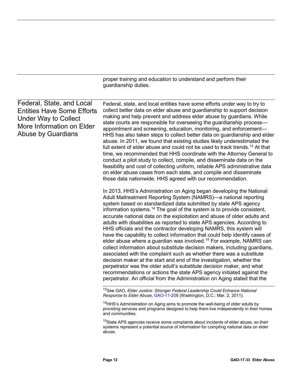proper training and education to understand and perform their guardianship duties.

| Federal, State, and Local<br><b>Entities Have Some Efforts</b><br><b>Under Way to Collect</b><br>More Information on Elder<br><b>Abuse by Guardians</b> | Federal, state, and local entities have some efforts under way to try to<br>collect better data on elder abuse and guardianship to support decision<br>making and help prevent and address elder abuse by guardians. While<br>state courts are responsible for overseeing the guardianship process-<br>appointment and screening, education, monitoring, and enforcement—<br>HHS has also taken steps to collect better data on guardianship and elder<br>abuse. In 2011, we found that existing studies likely underestimated the<br>full extent of elder abuse and could not be used to track trends. <sup>13</sup> At that<br>time, we recommended that HHS coordinate with the Attorney General to<br>conduct a pilot study to collect, compile, and disseminate data on the<br>feasibility and cost of collecting uniform, reliable APS administrative data<br>on elder abuse cases from each state, and compile and disseminate<br>those data nationwide. HHS agreed with our recommendation.                                                                                                                                                                |
|---------------------------------------------------------------------------------------------------------------------------------------------------------|--------------------------------------------------------------------------------------------------------------------------------------------------------------------------------------------------------------------------------------------------------------------------------------------------------------------------------------------------------------------------------------------------------------------------------------------------------------------------------------------------------------------------------------------------------------------------------------------------------------------------------------------------------------------------------------------------------------------------------------------------------------------------------------------------------------------------------------------------------------------------------------------------------------------------------------------------------------------------------------------------------------------------------------------------------------------------------------------------------------------------------------------------------------------|
|                                                                                                                                                         | In 2013, HHS's Administration on Aging began developing the National<br>Adult Maltreatment Reporting System (NAMRS)-a national reporting<br>system based on standardized data submitted by state APS agency<br>information systems. <sup>14</sup> The goal of the system is to provide consistent,<br>accurate national data on the exploitation and abuse of older adults and<br>adults with disabilities as reported to state APS agencies. According to<br>HHS officials and the contractor developing NAMRS, this system will<br>have the capability to collect information that could help identify cases of<br>elder abuse where a guardian was involved. <sup>15</sup> For example, NAMRS can<br>collect information about substitute decision makers, including guardians,<br>associated with the complaint such as whether there was a substitute<br>decision maker at the start and end of the investigation, whether the<br>perpetrator was the older adult's substitute decision maker, and what<br>recommendations or actions the state APS agency initiated against the<br>perpetrator. An official from the Administration on Aging stated that the |
|                                                                                                                                                         | <sup>13</sup> See GAO, Elder Justice: Stronger Federal Leadership Could Enhance National<br>Response to Elder Abuse, GAO-11-208 (Washington, D.C.: Mar. 2, 2011).                                                                                                                                                                                                                                                                                                                                                                                                                                                                                                                                                                                                                                                                                                                                                                                                                                                                                                                                                                                                  |
|                                                                                                                                                         | <sup>14</sup> HHS's Administration on Aging aims to promote the well-being of older adults by<br>providing services and programs designed to help them live independently in their homes<br>and communities.                                                                                                                                                                                                                                                                                                                                                                                                                                                                                                                                                                                                                                                                                                                                                                                                                                                                                                                                                       |

<span id="page-15-2"></span><span id="page-15-1"></span><span id="page-15-0"></span><sup>15</sup>State APS agencies receive some complaints about incidents of elder abuse, so their systems represent a potential source of information for compiling national data on elder abuse.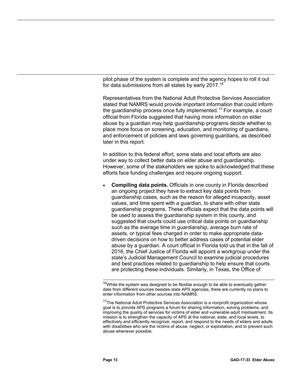pilot phase of the system is complete and the agency hopes to roll it out for data submissions from all states by early 2017. [16](#page-16-0)

Representatives from the National Adult Protective Services Association stated that NAMRS would provide important information that could inform the guardianship process once fully implemented.<sup>[17](#page-16-1)</sup> For example, a court official from Florida suggested that having more information on elder abuse by a guardian may help guardianship programs decide whether to place more focus on screening, education, and monitoring of guardians, and enforcement of policies and laws governing guardians, as described later in this report.

In addition to this federal effort, some state and local efforts are also under way to collect better data on elder abuse and guardianship. However, some of the stakeholders we spoke to acknowledged that these efforts face funding challenges and require ongoing support.

• **Compiling data points.** Officials in one county in Florida described an ongoing project they have to extract key data points from guardianship cases, such as the reason for alleged incapacity, asset values, and time spent with a guardian, to share with other state guardianship programs. These officials expect that the data points will be used to assess the guardianship system in this county, and suggested that courts could use critical data points on guardianship such as the average time in guardianship, average burn rate of assets, or typical fees charged in order to make appropriate datadriven decisions on how to better address cases of potential elder abuse by a guardian. A court official in Florida told us that in the fall of 2016, the Chief Justice of Florida will appoint a workgroup under the state's Judicial Management Council to examine judicial procedures and best practices related to guardianship to help ensure that courts are protecting these individuals. Similarly, in Texas, the Office of

<span id="page-16-0"></span><sup>&</sup>lt;sup>16</sup>While the system was designed to be flexible enough to be able to eventually gather data from different sources besides state APS agencies, there are currently no plans to enter information from other sources into NAMRS.

<span id="page-16-1"></span><sup>&</sup>lt;sup>17</sup>The National Adult Protective Services Association is a nonprofit organization whose goal is to provide APS programs a forum for sharing information, solving problems, and improving the quality of services for victims of elder and vulnerable adult mistreatment. Its mission is to strengthen the capacity of APS at the national, state, and local levels, to effectively and efficiently recognize, report, and respond to the needs of elders and adults with disabilities who are the victims of abuse, neglect, or exploitation, and to prevent such abuse whenever possible.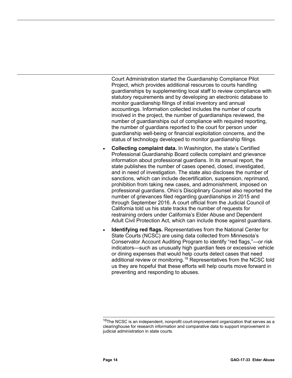Court Administration started the Guardianship Compliance Pilot Project, which provides additional resources to courts handling guardianships by supplementing local staff to review compliance with statutory requirements and by developing an electronic database to monitor guardianship filings of initial inventory and annual accountings. Information collected includes the number of courts involved in the project, the number of guardianships reviewed, the number of guardianships out of compliance with required reporting, the number of guardians reported to the court for person under guardianship well-being or financial exploitation concerns, and the status of technology developed to monitor guardianship filings.

- **Collecting complaint data.** In Washington, the state's Certified Professional Guardianship Board collects complaint and grievance information about professional guardians. In its annual report, the state publishes the number of cases opened, closed, investigated, and in need of investigation. The state also discloses the number of sanctions, which can include decertification, suspension, reprimand, prohibition from taking new cases, and admonishment, imposed on professional guardians. Ohio's Disciplinary Counsel also reported the number of grievances filed regarding guardianships in 2015 and through September 2016. A court official from the Judicial Council of California told us his state tracks the number of requests for restraining orders under California's Elder Abuse and Dependent Adult Civil Protection Act, which can include those against guardians.
- **Identifying red flags.** Representatives from the National Center for State Courts (NCSC) are using data collected from Minnesota's Conservator Account Auditing Program to identify "red flags,"—or risk indicators—such as unusually high guardian fees or excessive vehicle or dining expenses that would help courts detect cases that need additional review or monitoring.<sup>[18](#page-17-0)</sup> Representatives from the NCSC told us they are hopeful that these efforts will help courts move forward in preventing and responding to abuses.

<span id="page-17-0"></span> $18$ The NCSC is an independent, nonprofit court-improvement organization that serves as a clearinghouse for research information and comparative data to support improvement in judicial administration in state courts.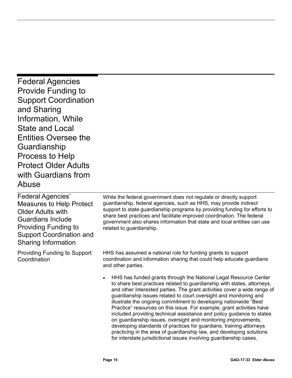<span id="page-18-0"></span>Federal Agencies Provide Funding to Support Coordination and Sharing Information, While State and Local Entities Oversee the Guardianship Process to Help Protect Older Adults with Guardians from Abuse

Federal Agencies' Measures to Help Protect Older Adults with Guardians Include Providing Funding to Support Coordination and Sharing Information

Providing Funding to Support **Coordination** 

While the federal government does not regulate or directly support guardianship, federal agencies, such as HHS, may provide indirect support to state guardianship programs by providing funding for efforts to share best practices and facilitate improved coordination. The federal government also shares information that state and local entities can use related to guardianship.

HHS has assumed a national role for funding grants to support coordination and information sharing that could help educate guardians and other parties.

• HHS has funded grants through the National Legal Resource Center to share best practices related to guardianship with states, attorneys, and other interested parties. The grant activities cover a wide range of guardianship issues related to court oversight and monitoring and illustrate the ongoing commitment to developing nationwide "Best Practice" resources on this issue. For example, grant activities have included providing technical assistance and policy guidance to states on guardianship issues, oversight and monitoring improvements, developing standards of practices for guardians, training attorneys practicing in the area of guardianship law, and developing solutions for interstate jurisdictional issues involving guardianship cases.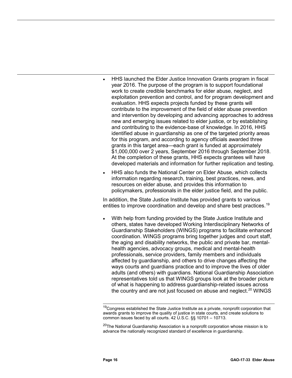- HHS launched the Elder Justice Innovation Grants program in fiscal year 2016. The purpose of the program is to support foundational work to create credible benchmarks for elder abuse, neglect, and exploitation prevention and control, and for program development and evaluation. HHS expects projects funded by these grants will contribute to the improvement of the field of elder abuse prevention and intervention by developing and advancing approaches to address new and emerging issues related to elder justice, or by establishing and contributing to the evidence-base of knowledge. In 2016, HHS identified abuse in guardianship as one of the targeted priority areas for this program, and according to agency officials awarded three grants in this target area—each grant is funded at approximately \$1,000,000 over 2 years, September 2016 through September 2018. At the completion of these grants, HHS expects grantees will have developed materials and information for further replication and testing.
- HHS also funds the National Center on Elder Abuse, which collects information regarding research, training, best practices, news, and resources on elder abuse, and provides this information to policymakers, professionals in the elder justice field, and the public.

In addition, the State Justice Institute has provided grants to various entities to improve coordination and develop and share best practices.<sup>[19](#page-19-0)</sup>

With help from funding provided by the State Justice Institute and others, states have developed Working Interdisciplinary Networks of Guardianship Stakeholders (WINGS) programs to facilitate enhanced coordination. WINGS programs bring together judges and court staff, the aging and disability networks, the public and private bar, mentalhealth agencies, advocacy groups, medical and mental-health professionals, service providers, family members and individuals affected by guardianship, and others to drive changes affecting the ways courts and guardians practice and to improve the lives of older adults (and others) with guardians. National Guardianship Association representatives told us that WINGS groups look at the broader picture of what is happening to address guardianship-related issues across the country and are not just focused on abuse and neglect.<sup>[20](#page-19-1)</sup> WINGS

<span id="page-19-0"></span><sup>&</sup>lt;sup>19</sup>Congress established the State Justice Institute as a private, nonprofit corporation that awards grants to improve the quality of justice in state courts, and create solutions to common issues faced by all courts. 42 U.S.C. §§ 10701 – 10713.

<span id="page-19-1"></span> $20$ The National Guardianship Association is a nonprofit corporation whose mission is to advance the nationally recognized standard of excellence in guardianship.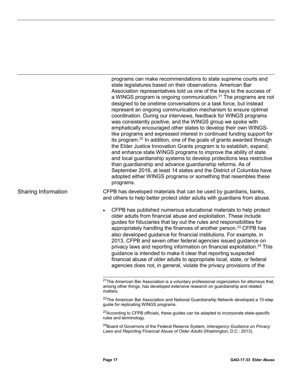programs can make recommendations to state supreme courts and state legislatures based on their observations. American Bar Association representatives told us one of the keys to the success of a WINGS program is ongoing communication.<sup>[21](#page-20-0)</sup> The programs are not designed to be onetime conversations or a task force, but instead represent an ongoing communication mechanism to ensure optimal coordination. During our interviews, feedback for WINGS programs was consistently positive, and the WINGS group we spoke with emphatically encouraged other states to develop their own WINGSlike programs and expressed interest in continued funding support for its program.<sup>[22](#page-20-1)</sup> In addition, one of the goals of grants awarded through the Elder Justice Innovation Grants program is to establish, expand, and enhance state WINGS programs to improve the ability of state and local guardianship systems to develop protections less restrictive than guardianship and advance guardianship reforms. As of September 2016, at least 14 states and the District of Columbia have adopted either WINGS programs or something that resembles these programs.

CFPB has developed materials that can be used by guardians, banks, and others to help better protect older adults with guardians from abuse.

• CFPB has published numerous educational materials to help protect older adults from financial abuse and exploitation. These include guides for fiduciaries that lay out the rules and responsibilities for appropriately handling the finances of another person.<sup>[23](#page-20-2)</sup> CFPB has also developed guidance for financial institutions. For example, in 2013, CFPB and seven other federal agencies issued guidance on privacy laws and reporting information on financial exploitation.<sup>[24](#page-20-3)</sup> This guidance is intended to make it clear that reporting suspected financial abuse of older adults to appropriate local, state, or federal agencies does not, in general, violate the privacy provisions of the

<span id="page-20-1"></span><sup>22</sup>The American Bar Association and National Guardianship Network developed a 10-step guide for replicating WINGS programs.

<span id="page-20-2"></span><sup>23</sup>According to CFPB officials, these guides can be adapted to incorporate state-specific rules and terminology.

<span id="page-20-3"></span>24Board of Governors of the Federal Reserve System, *Interagency Guidance on Privacy Laws and Reporting Financial Abuse of Older Adults* (Washington, D.C.: 2013).

#### <span id="page-20-0"></span>Sharing Information

<sup>&</sup>lt;sup>21</sup>The American Bar Association is a voluntary professional organization for attorneys that, among other things, has developed extensive research on guardianship and related matters.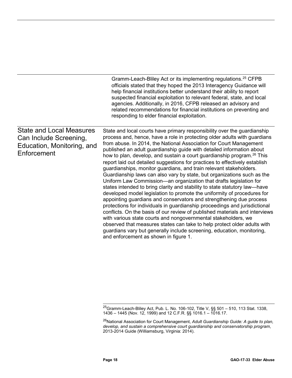|                                                                                                        | Gramm-Leach-Bliley Act or its implementing regulations. <sup>25</sup> CFPB<br>officials stated that they hoped the 2013 Interagency Guidance will<br>help financial institutions better understand their ability to report<br>suspected financial exploitation to relevant federal, state, and local<br>agencies. Additionally, in 2016, CFPB released an advisory and<br>related recommendations for financial institutions on preventing and<br>responding to elder financial exploitation.                                                                                                                                                                                                                                                                                                                                                                                                                                                                                                                                                                                                                                                                                                                                                                                                                                                                  |
|--------------------------------------------------------------------------------------------------------|----------------------------------------------------------------------------------------------------------------------------------------------------------------------------------------------------------------------------------------------------------------------------------------------------------------------------------------------------------------------------------------------------------------------------------------------------------------------------------------------------------------------------------------------------------------------------------------------------------------------------------------------------------------------------------------------------------------------------------------------------------------------------------------------------------------------------------------------------------------------------------------------------------------------------------------------------------------------------------------------------------------------------------------------------------------------------------------------------------------------------------------------------------------------------------------------------------------------------------------------------------------------------------------------------------------------------------------------------------------|
| <b>State and Local Measures</b><br>Can Include Screening,<br>Education, Monitoring, and<br>Enforcement | State and local courts have primary responsibility over the guardianship<br>process and, hence, have a role in protecting older adults with guardians<br>from abuse. In 2014, the National Association for Court Management<br>published an adult guardianship guide with detailed information about<br>how to plan, develop, and sustain a court guardianship program. <sup>26</sup> This<br>report laid out detailed suggestions for practices to effectively establish<br>guardianships, monitor guardians, and train relevant stakeholders.<br>Guardianship laws can also vary by state, but organizations such as the<br>Uniform Law Commission—an organization that drafts legislation for<br>states intended to bring clarity and stability to state statutory law—have<br>developed model legislation to promote the uniformity of procedures for<br>appointing guardians and conservators and strengthening due process<br>protections for individuals in guardianship proceedings and jurisdictional<br>conflicts. On the basis of our review of published materials and interviews<br>with various state courts and nongovernmental stakeholders, we<br>observed that measures states can take to help protect older adults with<br>guardians vary but generally include screening, education, monitoring,<br>and enforcement as shown in figure 1. |

<sup>&</sup>lt;sup>25</sup>Gramm-Leach-Bliley Act, Pub. L. No. 106-102, Title V, §§ 501 – 510, 113 Stat. 1338, 1436 – 1445 (Nov. 12, 1999) and 12 C.F.R. §§ 1016.1 – 1016.17.

<span id="page-21-1"></span><span id="page-21-0"></span><sup>26</sup>National Association for Court Management, *Adult Guardianship Guide: A guide to plan, develop, and sustain a comprehensive court guardianship and conservatorship program*, 2013-2014 Guide (Williamsburg, Virginia: 2014).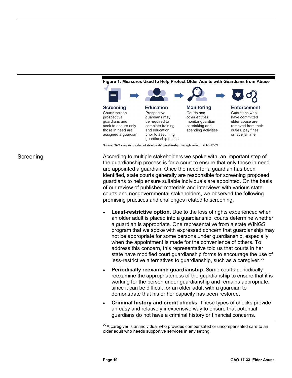

<span id="page-22-0"></span>**Figure 1: Measures Used to Help Protect Older Adults with Guardians from Abuse**

Source: GAO analysis of selected state courts' guardianship oversight roles. | GAO-17-33

According to multiple stakeholders we spoke with, an important step of the guardianship process is for a court to ensure that only those in need are appointed a guardian. Once the need for a guardian has been identified, state courts generally are responsible for screening proposed guardians to help ensure suitable individuals are appointed. On the basis of our review of published materials and interviews with various state courts and nongovernmental stakeholders, we observed the following promising practices and challenges related to screening.

- **Least-restrictive option.** Due to the loss of rights experienced when an older adult is placed into a guardianship, courts determine whether a guardian is appropriate. One representative from a state WINGS program that we spoke with expressed concern that guardianship may not be appropriate for some persons under guardianship, especially when the appointment is made for the convenience of others. To address this concern, this representative told us that courts in her state have modified court guardianship forms to encourage the use of less-restrictive alternatives to guardianship, such as a caregiver.<sup>[27](#page-22-1)</sup>
- **Periodically reexamine guardianship.** Some courts periodically reexamine the appropriateness of the guardianship to ensure that it is working for the person under guardianship and remains appropriate, since it can be difficult for an older adult with a guardian to demonstrate that his or her capacity has been restored.
- **Criminal history and credit checks.** These types of checks provide an easy and relatively inexpensive way to ensure that potential guardians do not have a criminal history or financial concerns.

<span id="page-22-1"></span> $27A$  caregiver is an individual who provides compensated or uncompensated care to an older adult who needs supportive services in any setting.

#### Screening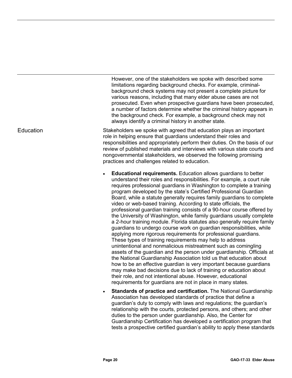However, one of the stakeholders we spoke with described some limitations regarding background checks. For example, criminalbackground check systems may not present a complete picture for various reasons, including that many elder abuse cases are not prosecuted. Even when prospective guardians have been prosecuted, a number of factors determine whether the criminal history appears in the background check. For example, a background check may not always identify a criminal history in another state.

Stakeholders we spoke with agreed that education plays an important role in helping ensure that guardians understand their roles and responsibilities and appropriately perform their duties. On the basis of our review of published materials and interviews with various state courts and nongovernmental stakeholders, we observed the following promising practices and challenges related to education.

- **Educational requirements.** Education allows guardians to better understand their roles and responsibilities. For example, a court rule requires professional guardians in Washington to complete a training program developed by the state's Certified Professional Guardian Board, while a statute generally requires family guardians to complete video or web-based training. According to state officials, the professional guardian training consists of a 90-hour course offered by the University of Washington, while family guardians usually complete a 2-hour training module. Florida statutes also generally require family guardians to undergo course work on guardian responsibilities, while applying more rigorous requirements for professional guardians. These types of training requirements may help to address unintentional and nonmalicious mistreatment such as comingling assets of the guardian and the person under guardianship. Officials at the National Guardianship Association told us that education about how to be an effective guardian is very important because guardians may make bad decisions due to lack of training or education about their role, and not intentional abuse. However, educational requirements for guardians are not in place in many states.
- **Standards of practice and certification.** The National Guardianship Association has developed standards of practice that define a guardian's duty to comply with laws and regulations; the guardian's relationship with the courts, protected persons, and others; and other duties to the person under guardianship. Also, the Center for Guardianship Certification has developed a certification program that tests a prospective certified guardian's ability to apply these standards

#### **Education**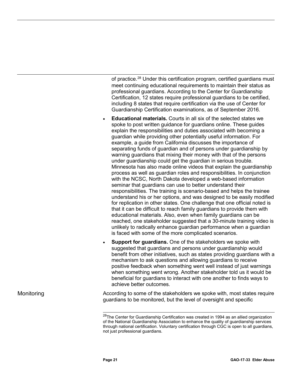of practice.<sup>[28](#page-24-0)</sup> Under this certification program, certified guardians must meet continuing educational requirements to maintain their status as professional guardians. According to the Center for Guardianship Certification, 12 states require professional guardians to be certified, including 8 states that require certification via the use of Center for Guardianship Certification examinations, as of September 2016.

- **Educational materials.** Courts in all six of the selected states we spoke to post written guidance for guardians online. These guides explain the responsibilities and duties associated with becoming a guardian while providing other potentially useful information. For example, a guide from California discusses the importance of separating funds of guardian and of persons under guardianship by warning guardians that mixing their money with that of the persons under guardianship could get the guardian in serious trouble. Minnesota has also made online videos that explain the guardianship process as well as guardian roles and responsibilities. In conjunction with the NCSC, North Dakota developed a web-based information seminar that guardians can use to better understand their responsibilities. The training is scenario-based and helps the trainee understand his or her options, and was designed to be easily modified for replication in other states. One challenge that one official noted is that it can be difficult to reach family guardians to provide them with educational materials. Also, even when family guardians can be reached, one stakeholder suggested that a 30-minute training video is unlikely to radically enhance guardian performance when a guardian is faced with some of the more complicated scenarios.
- **Support for quardians.** One of the stakeholders we spoke with suggested that guardians and persons under guardianship would benefit from other initiatives, such as states providing guardians with a mechanism to ask questions and allowing guardians to receive positive feedback when something went well instead of just warnings when something went wrong. Another stakeholder told us it would be beneficial for guardians to interact with one another to finds ways to achieve better outcomes.

<span id="page-24-0"></span>Monitoring

According to some of the stakeholders we spoke with, most states require guardians to be monitored, but the level of oversight and specific

<sup>&</sup>lt;sup>28</sup>The Center for Guardianship Certification was created in 1994 as an allied organization of the National Guardianship Association to enhance the quality of guardianship services through national certification. Voluntary certification through CGC is open to all guardians, not just professional guardians.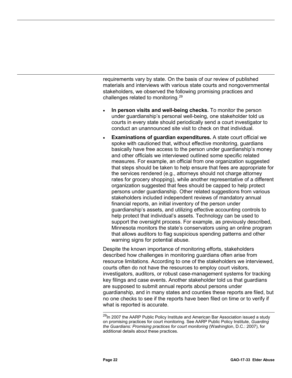requirements vary by state. On the basis of our review of published materials and interviews with various state courts and nongovernmental stakeholders, we observed the following promising practices and challenges related to monitoring[.29](#page-25-0)

- **In person visits and well-being checks.** To monitor the person under guardianship's personal well-being, one stakeholder told us courts in every state should periodically send a court investigator to conduct an unannounced site visit to check on that individual.
- **Examinations of guardian expenditures.** A state court official we spoke with cautioned that, without effective monitoring, guardians basically have free access to the person under guardianship's money and other officials we interviewed outlined some specific related measures. For example, an official from one organization suggested that steps should be taken to help ensure that fees are appropriate for the services rendered (e.g., attorneys should not charge attorney rates for grocery shopping), while another representative of a different organization suggested that fees should be capped to help protect persons under guardianship. Other related suggestions from various stakeholders included independent reviews of mandatory annual financial reports, an initial inventory of the person under guardianship's assets, and utilizing effective accounting controls to help protect that individual's assets. Technology can be used to support the oversight process. For example, as previously described, Minnesota monitors the state's conservators using an online program that allows auditors to flag suspicious spending patterns and other warning signs for potential abuse.

Despite the known importance of monitoring efforts, stakeholders described how challenges in monitoring guardians often arise from resource limitations. According to one of the stakeholders we interviewed, courts often do not have the resources to employ court visitors, investigators, auditors, or robust case-management systems for tracking key filings and case events. Another stakeholder told us that guardians are supposed to submit annual reports about persons under guardianship, and in many states and counties these reports are filed, but no one checks to see if the reports have been filed on time or to verify if what is reported is accurate.

<span id="page-25-0"></span><sup>&</sup>lt;sup>29</sup>In 2007 the AARP Public Policy Institute and American Bar Association issued a study on promising practices for court monitoring. See AARP Public Policy Institute, *Guarding the Guardians: Promising practices for court monitoring* (Washington, D.C.: 2007), for additional details about these practices.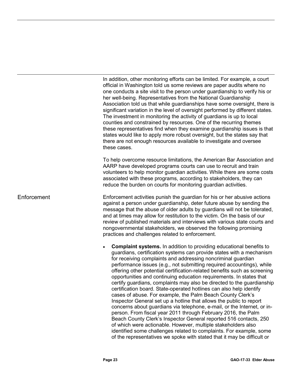In addition, other monitoring efforts can be limited. For example, a court official in Washington told us some reviews are paper audits where no one conducts a site visit to the person under guardianship to verify his or her well-being. Representatives from the National Guardianship Association told us that while guardianships have some oversight, there is significant variation in the level of oversight performed by different states. The investment in monitoring the activity of guardians is up to local counties and constrained by resources. One of the recurring themes these representatives find when they examine guardianship issues is that states would like to apply more robust oversight, but the states say that there are not enough resources available to investigate and oversee these cases.

To help overcome resource limitations, the American Bar Association and AARP have developed programs courts can use to recruit and train volunteers to help monitor guardian activities. While there are some costs associated with these programs, according to stakeholders, they can reduce the burden on courts for monitoring guardian activities.

Enforcement activities punish the guardian for his or her abusive actions against a person under guardianship, deter future abuse by sending the message that the abuse of older adults by guardians will not be tolerated, and at times may allow for restitution to the victim. On the basis of our review of published materials and interviews with various state courts and nongovernmental stakeholders, we observed the following promising practices and challenges related to enforcement.

> • **Complaint systems.** In addition to providing educational benefits to guardians, certification systems can provide states with a mechanism for receiving complaints and addressing noncriminal guardian performance issues (e.g., not submitting required accountings), while offering other potential certification-related benefits such as screening opportunities and continuing education requirements. In states that certify guardians, complaints may also be directed to the guardianship certification board. State-operated hotlines can also help identify cases of abuse. For example, the Palm Beach County Clerk's Inspector General set up a hotline that allows the public to report concerns about guardians via telephone, e-mail, or the Internet, or inperson. From fiscal year 2011 through February 2016, the Palm Beach County Clerk's Inspector General reported 516 contacts, 250 of which were actionable. However, multiple stakeholders also identified some challenges related to complaints. For example, some of the representatives we spoke with stated that it may be difficult or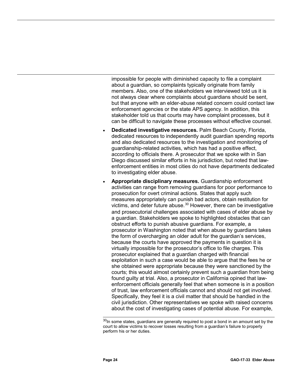impossible for people with diminished capacity to file a complaint about a guardian, so complaints typically originate from family members. Also, one of the stakeholders we interviewed told us it is not always clear where complaints about guardians should be sent, but that anyone with an elder-abuse related concern could contact law enforcement agencies or the state APS agency. In addition, this stakeholder told us that courts may have complaint processes, but it can be difficult to navigate these processes without effective counsel.

- **Dedicated investigative resources.** Palm Beach County, Florida, dedicated resources to independently audit guardian spending reports and also dedicated resources to the investigation and monitoring of guardianship-related activities, which has had a positive effect, according to officials there. A prosecutor that we spoke with in San Diego discussed similar efforts in his jurisdiction, but noted that lawenforcement entities in most cities do not have departments dedicated to investigating elder abuse.
- **Appropriate disciplinary measures.** Guardianship enforcement activities can range from removing guardians for poor performance to prosecution for overt criminal actions. States that apply such measures appropriately can punish bad actors, obtain restitution for victims, and deter future abuse.[30](#page-27-0) However, there can be investigative and prosecutorial challenges associated with cases of elder abuse by a guardian. Stakeholders we spoke to highlighted obstacles that can obstruct efforts to punish abusive guardians. For example, a prosecutor in Washington noted that when abuse by guardians takes the form of overcharging an older adult for the guardian's services, because the courts have approved the payments in question it is virtually impossible for the prosecutor's office to file charges. This prosecutor explained that a guardian charged with financial exploitation in such a case would be able to argue that the fees he or she obtained were appropriate because they were sanctioned by the courts; this would almost certainly prevent such a guardian from being found guilty at trial. Also, a prosecutor in California opined that lawenforcement officials generally feel that when someone is in a position of trust, law enforcement officials cannot and should not get involved. Specifically, they feel it is a civil matter that should be handled in the civil jurisdiction. Other representatives we spoke with raised concerns about the cost of investigating cases of potential abuse. For example,

<span id="page-27-0"></span> $30$ In some states, guardians are generally required to post a bond in an amount set by the court to allow victims to recover losses resulting from a guardian's failure to properly perform his or her duties.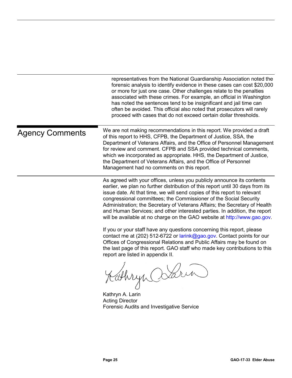<span id="page-28-0"></span>

|                        | representatives from the National Guardianship Association noted the<br>forensic analysis to identify evidence in these cases can cost \$20,000<br>or more for just one case. Other challenges relate to the penalties<br>associated with these crimes. For example, an official in Washington<br>has noted the sentences tend to be insignificant and jail time can<br>often be avoided. This official also noted that prosecutors will rarely<br>proceed with cases that do not exceed certain dollar thresholds.                              |
|------------------------|--------------------------------------------------------------------------------------------------------------------------------------------------------------------------------------------------------------------------------------------------------------------------------------------------------------------------------------------------------------------------------------------------------------------------------------------------------------------------------------------------------------------------------------------------|
| <b>Agency Comments</b> | We are not making recommendations in this report. We provided a draft<br>of this report to HHS, CFPB, the Department of Justice, SSA, the<br>Department of Veterans Affairs, and the Office of Personnel Management<br>for review and comment. CFPB and SSA provided technical comments,<br>which we incorporated as appropriate. HHS, the Department of Justice,<br>the Department of Veterans Affairs, and the Office of Personnel<br>Management had no comments on this report.                                                               |
|                        | As agreed with your offices, unless you publicly announce its contents<br>earlier, we plan no further distribution of this report until 30 days from its<br>issue date. At that time, we will send copies of this report to relevant<br>congressional committees; the Commissioner of the Social Security<br>Administration; the Secretary of Veterans Affairs; the Secretary of Health<br>and Human Services; and other interested parties. In addition, the report<br>will be available at no charge on the GAO website at http://www.gao.gov. |
|                        | If you or your staff have any questions concerning this report, please<br>contact me at (202) 512-6722 or larink@gao.gov. Contact points for our<br>Offices of Congressional Relations and Public Affairs may be found on<br>the last page of this report. GAO staff who made key contributions to this<br>report are listed in appendix II.                                                                                                                                                                                                     |
|                        | Kathryn Osarin<br>Kathryn A. Larin                                                                                                                                                                                                                                                                                                                                                                                                                                                                                                               |
|                        | <b>Acting Director</b><br>Forensic Audits and Investigative Service                                                                                                                                                                                                                                                                                                                                                                                                                                                                              |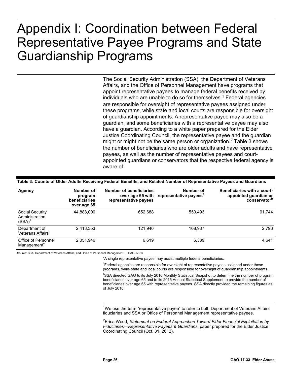### <span id="page-29-0"></span>**Appendix I: Coordination between Federal Representative Payee Programs and State**  Appendix I: Coordination between Federal Representative Payee Programs and State Guardianship Programs

The Social Security Administration (SSA), the Department of Veterans Affairs, and the Office of Personnel Management have programs that appoint representative payees to manage federal benefits received by individuals who are unable to do so for themselves.<sup>[1](#page-29-2)</sup> Federal agencies are responsible for oversight of representative payees assigned under these programs, while state and local courts are responsible for oversight of guardianship appointments. A representative payee may also be a guardian, and some beneficiaries with a representative payee may also have a guardian. According to a white paper prepared for the Elder Justice Coordinating Council, the representative payee and the guardian might or might not be the same person or organization.<sup>[2](#page-29-3)</sup> Table 3 shows the number of beneficiaries who are older adults and have representative payees, as well as the number of representative payees and courtappointed guardians or conservators that the respective federal agency is aware of.

| Agency                                         | Number of<br>program<br>beneficiaries<br>over age 65 | <b>Number of beneficiaries</b><br>over age 65 with<br>representative payees | Number of<br>representative payees <sup>"</sup> | <b>Beneficiaries with a court-</b><br>appointed guardian or<br>conservator <sup>"</sup> |
|------------------------------------------------|------------------------------------------------------|-----------------------------------------------------------------------------|-------------------------------------------------|-----------------------------------------------------------------------------------------|
| Social Security<br>Administration<br>$(SSA)^c$ | 44,888,000                                           | 652,688                                                                     | 550,493                                         | 91.744                                                                                  |
| Department of<br>Veterans Affairs <sup>d</sup> | 2,413,353                                            | 121.946                                                                     | 108.987                                         | 2,793                                                                                   |
| Office of Personnel<br>Management <sup>e</sup> | 2,051,946                                            | 6,619                                                                       | 6,339                                           | 4.641                                                                                   |

#### <span id="page-29-1"></span>**Table 3: Counts of Older Adults Receiving Federal Benefits, and Related Number of Representative Payees and Guardians**

<span id="page-29-3"></span><span id="page-29-2"></span>Source: SSA, Department of Veterans Affairs, and Office of Personnel Management. | GAO-17-33

<sup>a</sup>A single representative payee may assist multiple federal beneficiaries.

<sup>b</sup>Federal agencies are responsible for oversight of representative payees assigned under these programs, while state and local courts are responsible for oversight of guardianship appointments.

c SSA directed GAO to its July 2016 Monthly Statistical Snapshot to determine the number of program beneficiaries over age 65 and to its 2015 Annual Statistical Supplement to provide the number of beneficiaries over age 65 with representative payees. SSA directly provided the remaining figures as of July 2016.

<sup>1</sup>We use the term "representative payee" to refer to both Department of Veterans Affairs fiduciaries and SSA or Office of Personnel Management representative payees.

2 Erica Wood, *Statement on Federal Approaches Toward Elder Financial Exploitation by Fiduciaries—Representative Payees & Guardians*, paper prepared for the Elder Justice Coordinating Council (Oct. 31, 2012).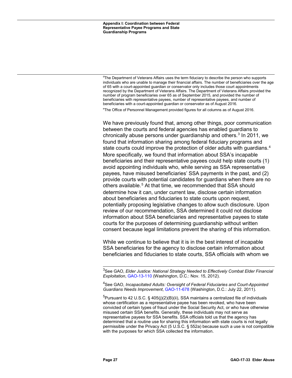<sup>d</sup>The Department of Veterans Affairs uses the term fiduciary to describe the person who supports individuals who are unable to manage their financial affairs. The number of beneficiaries over the age of 65 with a court-appointed guardian or conservator only includes those court appointments recognized by the Department of Veterans Affairs. The Department of Veterans Affairs provided the number of program beneficiaries over 65 as of September 2015, and provided the number of beneficiaries with representative payees, number of representative payees, and number of beneficiaries with a court-appointed guardian or conservator as of August 2016.

<sup>e</sup> The Office of Personnel Management provided figures for all columns as of August 2016.

We have previously found that, among other things, poor communication between the courts and federal agencies has enabled guardians to chronically abuse persons under guardianship and others.<sup>[3](#page-30-0)</sup> In 2011, we found that information sharing among federal fiduciary programs and state courts could improve the protection of older adults with guardians.<sup>[4](#page-30-1)</sup> More specifically, we found that information about SSA's incapable beneficiaries and their representative payees could help state courts (1) avoid appointing individuals who, while serving as SSA representative payees, have misused beneficiaries' SSA payments in the past, and (2) provide courts with potential candidates for guardians when there are no others available.<sup>[5](#page-30-2)</sup> At that time, we recommended that SSA should determine how it can, under current law, disclose certain information about beneficiaries and fiduciaries to state courts upon request, potentially proposing legislative changes to allow such disclosure. Upon review of our recommendation, SSA determined it could not disclose information about SSA beneficiaries and representative payees to state courts for the purposes of determining guardianship without written consent because legal limitations prevent the sharing of this information.

While we continue to believe that it is in the best interest of incapable SSA beneficiaries for the agency to disclose certain information about beneficiaries and fiduciaries to state courts, SSA officials with whom we

<span id="page-30-0"></span> <sup>3</sup> See GAO, *Elder Justice: National Strategy Needed to Effectively Combat Elder Financial Exploitation*[, GAO-13-110](http://www.gao.gov/products/GAO-13-110) (Washington, D.C.: Nov. 15, 2012).

<span id="page-30-1"></span><sup>4</sup> See GAO, *Incapacitated Adults: Oversight of Federal Fiduciaries and Court-Appointed Guardians Needs Improvement*, [GAO-11-678](http://www.gao.gov/products/GAO-11-678) (Washington, D.C.: July 22, 2011).

<span id="page-30-2"></span><sup>&</sup>lt;sup>5</sup>Pursuant to 42 U.S.C. § 405(j)(2)(B)(ii), SSA maintains a centralized file of individuals whose certification as a representative payee has been revoked, who have been convicted of certain types of fraud under the Social Security Act, or who have otherwise misused certain SSA benefits. Generally, these individuals may not serve as representative payees for SSA benefits. SSA officials told us that the agency has determined that a routine use for sharing this information with state courts is not legally permissible under the Privacy Act (5 U.S.C. § 552a) because such a use is not compatible with the purposes for which SSA collected the information.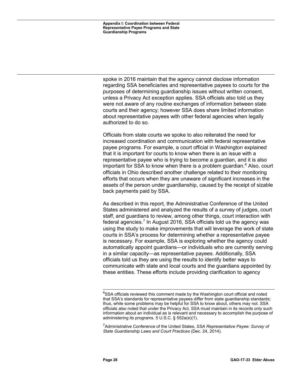**Appendix I: Coordination between Federal Representative Payee Programs and State Guardianship Programs**

spoke in 2016 maintain that the agency cannot disclose information regarding SSA beneficiaries and representative payees to courts for the purposes of determining guardianship issues without written consent, unless a Privacy Act exception applies. SSA officials also told us they were not aware of any routine exchanges of information between state courts and their agency; however SSA does share limited information about representative payees with other federal agencies when legally authorized to do so.

Officials from state courts we spoke to also reiterated the need for increased coordination and communication with federal representative payee programs. For example, a court official in Washington explained that it is important for courts to know when there is an issue with a representative payee who is trying to become a guardian, and it is also important for SSA to know when there is a problem guardian. $6$  Also, court officials in Ohio described another challenge related to their monitoring efforts that occurs when they are unaware of significant increases in the assets of the person under guardianship, caused by the receipt of sizable back payments paid by SSA.

As described in this report, the Administrative Conference of the United States administered and analyzed the results of a survey of judges, court staff, and guardians to review, among other things, court interaction with federal agencies.<sup>[7](#page-31-1)</sup> In August 2016, SSA officials told us the agency was using the study to make improvements that will leverage the work of state courts in SSA's process for determining whether a representative payee is necessary. For example, SSA is exploring whether the agency could automatically appoint guardians—or individuals who are currently serving in a similar capacity—as representative payees. Additionally, SSA officials told us they are using the results to identify better ways to communicate with state and local courts and the guardians appointed by these entities. These efforts include providing clarification to agency

<span id="page-31-1"></span>7 Administrative Conference of the United States, *SSA Representative Payee: Survey of State Guardianship Laws and Court Practices* (Dec. 24, 2014).

<span id="page-31-0"></span><sup>&</sup>lt;sup>6</sup>SSA officials reviewed this comment made by the Washington court official and noted that SSA's standards for representative payees differ from state guardianship standards; thus, while some problems may be helpful for SSA to know about, others may not. SSA officials also noted that under the Privacy Act, SSA must maintain in its records only such information about an individual as is relevant and necessary to accomplish the purpose of administering its programs. 5 U.S.C. § 552a(e)(1).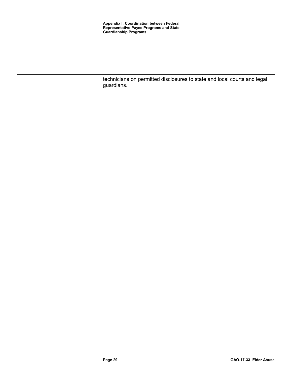technicians on permitted disclosures to state and local courts and legal guardians.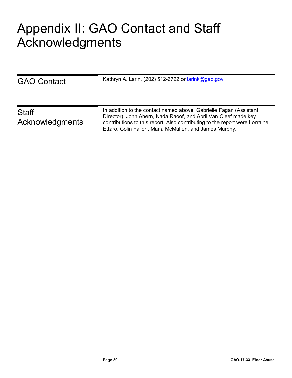## <span id="page-33-0"></span> $A \cap A$ Appendix II: GAO Contact and Staff Acknowledgments

| <b>GAO Contact</b>              | Kathryn A. Larin, (202) 512-6722 or larink@gao.gov                                                                                                                                                                                                                              |
|---------------------------------|---------------------------------------------------------------------------------------------------------------------------------------------------------------------------------------------------------------------------------------------------------------------------------|
| <b>Staff</b><br>Acknowledgments | In addition to the contact named above, Gabrielle Fagan (Assistant<br>Director), John Ahern, Nada Raoof, and April Van Cleef made key<br>contributions to this report. Also contributing to the report were Lorraine<br>Ettaro, Colin Fallon, Maria McMullen, and James Murphy. |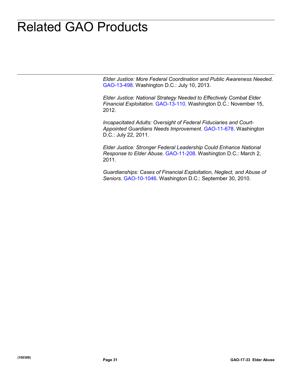## <span id="page-34-0"></span>**Related GAO Products** Related GAO Products

*Elder Justice: More Federal Coordination and Public Awareness Needed*. [GAO-13-498.](http://www.gao.gov/products/GAO-13-498) Washington D.C.: July 10, 2013.

*Elder Justice: National Strategy Needed to Effectively Combat Elder Financial Exploitation*. [GAO-13-110.](http://www.gao.gov/products/GAO-13-110) Washington D.C.: November 15, 2012.

*Incapacitated Adults: Oversight of Federal Fiduciaries and Court-Appointed Guardians Needs Improvement*. [GAO-11-678.](http://www.gao.gov/products/GAO-11-678) Washington D.C.: July 22, 2011.

*Elder Justice: Stronger Federal Leadership Could Enhance National Response to Elder Abuse*. [GAO-11-208.](http://www.gao.gov/products/GAO-11-208) Washington D.C.: March 2, 2011.

*Guardianships: Cases of Financial Exploitation, Neglect, and Abuse of Seniors*. [GAO-10-1046.](http://www.gao.gov/products/GAO-10-1046) Washington D.C.: September 30, 2010.